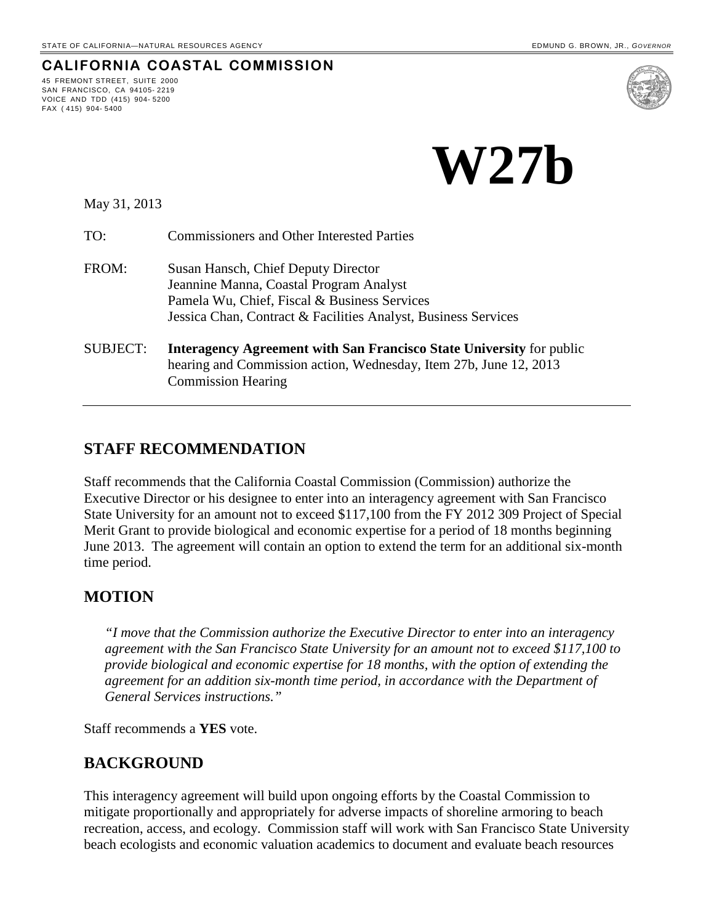**CALIFORNIA COASTAL COMMISSION**

 **W27b**

May 31, 2013

45 FREMONT STREET, SUITE 2000 SAN FRANCISCO, CA 94105- 2219 VOICE AND TDD (415) 904- 5200

FAX ( 415) 904- 5400

TO: Commissioners and Other Interested Parties

- FROM: Susan Hansch, Chief Deputy Director Jeannine Manna, Coastal Program Analyst Pamela Wu, Chief, Fiscal & Business Services Jessica Chan, Contract & Facilities Analyst, Business Services
- SUBJECT: **Interagency Agreement with San Francisco State University** for public hearing and Commission action, Wednesday, Item 27b, June 12, 2013 Commission Hearing

### **STAFF RECOMMENDATION**

Staff recommends that the California Coastal Commission (Commission) authorize the Executive Director or his designee to enter into an interagency agreement with San Francisco State University for an amount not to exceed \$117,100 from the FY 2012 309 Project of Special Merit Grant to provide biological and economic expertise for a period of 18 months beginning June 2013. The agreement will contain an option to extend the term for an additional six-month time period.

#### **MOTION**

*"I move that the Commission authorize the Executive Director to enter into an interagency agreement with the San Francisco State University for an amount not to exceed \$117,100 to provide biological and economic expertise for 18 months, with the option of extending the agreement for an addition six-month time period, in accordance with the Department of General Services instructions."* 

Staff recommends a **YES** vote.

#### **BACKGROUND**

This interagency agreement will build upon ongoing efforts by the Coastal Commission to mitigate proportionally and appropriately for adverse impacts of shoreline armoring to beach recreation, access, and ecology. Commission staff will work with San Francisco State University beach ecologists and economic valuation academics to document and evaluate beach resources